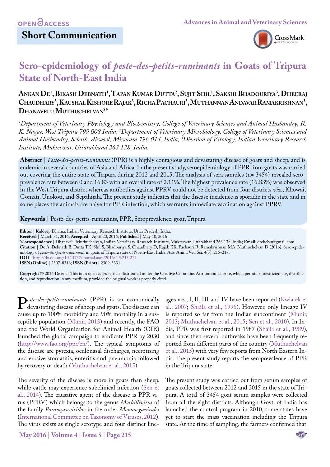## **Short Communication**



# **Sero-epidemiology of** *peste-des-petits-ruminants* **in Goats of Tripura State of North-East India**

## **Ankan De1 , Bikash Debnath1 , Tapan Kumar Dutta2 , Sujit Shil1 , Sakshi Bhadouriya3 , Dheeraj** Chaudhary<sup>3</sup>, Kaushal Kishore Rajak<sup>3</sup>, Richa Pachauri<sup>3</sup>, Muthannan Andavar Ramakrishnan<sup>3</sup>, **Dhanavelu Muthuchelvan3 \***

*1 Department of Veterinary Physiology and Biochemistry, College of Veterinary Sciences and Animal Husbandry, R.*  K. Nagar, West Tripura 799 008 India; <sup>2</sup>Department of Veterinary Microbiology, College of Veterinary Sciences and *Animal Husbandry, Selesih, Aizawl, Mizoram 796 014, India; 3 Division of Virology, Indian Veterinary Research Institute, Mukteswar, Uttarakhand 263 138, India.*

**Abstract** | *Peste-des-petits-ruminants* (PPR) is a highly contagious and devastating disease of goats and sheep, and is endemic in several countries of Asia and Africa. In the present study, seroepidemiology of PPR from goats was carried out covering the entire state of Tripura during 2012 and 2015. The analysis of sera samples (n= 3454) revealed seroprevalence rate between 0 and 16.83 with an overall rate of 2.11%. The highest prevalence rate (16.83%) was observed in the West Tripura district whereas antibodies against PPRV could not be detected from four districts *viz*., Khowai, Gomati, Unokoti, and Sepahijala. The present study indicates that the disease incidence is sporadic in the state and in some places the animals are naive for PPR infection, which warrants immediate vaccination against PPRV.

**Keywords** | Peste-des-petits-ruminants, PPR, Seroprevalence, goat, Tripura

**\*Correspondence** | Dhanavelu Muthuchelvan, Indian Veterinary Research Institute, Mukteswar, Uttarakhand 263 138, India; **Email:** drchelva@gmail.com **Citation** | De A, Debnath B, Dutta TK, Shil S, Bhadouriya S, Chaudhary D, Rajak KK, Pachauri R, Ramakrishnan MA, Muthuchelvan D (2016). Sero-epidemiology of *peste-des-petits-ruminants* in goats of Tripura state of North-East India. Adv. Anim. Vet. Sci. 4(5): 215-217. **DOI** | <http://dx.doi.org/10.14737/journal.aavs/2016/4.5.215.217> **ISSN (Online)** | 2307-8316; **ISSN (Print)** | 2309-3331

**Copyright** © 2016 De et al. This is an open access article distributed under the Creative Commons Attribution License, which permits unrestricted use, distribution, and reproduction in any medium, provided the original work is properly cited.

*Peste-des-petits-ruminants* (PPR) is an economically devastating disease of sheep and goats. The disease can cause up to 100% morbidity and 90% mortality in a suscause up to 100% morbidity and 90% mortality in a susceptible population [\(Munir, 2013\)](#page-2-0) and recently, the FAO and the World Organization for Animal Health (OIE) launched the global campaign to eradicate PPR by 2030 (<http://www.fao.org/ppr/en/>). The typical symptoms of the disease are pyrexia, oculonasal discharges, necrotising and erosive stomatitis, enteritis and pneumonia followed by recovery or death [\(Muthuchelvan et al., 2015](#page-2-1)).

The severity of the disease is more in goats than sheep, while cattle may experience subclinical infection ([Sen et](#page-2-2) [al., 2014](#page-2-2)). The causative agent of the disease is PPR virus (PPRV) which belongs to the genus *Morbillivirus* of the family *Paramyxoviridae* in the order *Mononegavirales* ([International Committee on Taxonomy of Viruses, 2012\)](#page-2-3). The virus exists as single serotype and four distinct line-

**May 2016 | Volume 4 | Issue 5 | Page 215**

ages viz., I, II, III and IV have been reported ([Kwiatek et](#page-2-4) [al., 2007](#page-2-4); [Shaila et al., 1996\)](#page-2-5). However, only lineage IV is reported so far from the Indian subcontinent ([Munir,](#page-2-0) [2013;](#page-2-0) [Muthuchelvan et al., 2015](#page-2-6); [Sen et al., 2010\)](#page-2-7). In India, PPR was first reported in 1987 [\(Shaila et al., 1989\)](#page-2-8), and since then several outbreaks have been frequently reported from different parts of the country [\(Muthuchelvan](#page-2-6) [et al., 2015\)](#page-2-6) with very few reports from North Eastern India. The present study reports the seroprevalence of PPR in the Tripura state.

The present study was carried out from serum samples of goats collected between 2012 and 2015 in the state of Tripura. A total of 3454 goat serum samples were collected from all the eight districts. Although Govt. of India has launched the control program in 2010, some states have yet to start the mass vaccination including the Tripura state. At the time of sampling, the farmers confirmed that

**Editor** | Kuldeep Dhama, Indian Veterinary Research Institute, Uttar Pradesh, India.

**Received** | March 31, 2016; **Accepted** | April 20, 2016; **Published** | May 10, 2016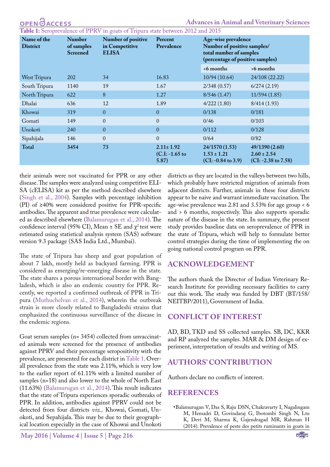<span id="page-1-1"></span>**Table 1:** Seroprevalence of PPRV in goats of Tripura state between 2012 and 2015

| Name of the<br><b>District</b> | <b>Number</b><br>of samples<br><b>Screened</b> | Number of positive<br>in Competitive<br><b>ELISA</b> | Percent<br>Prevalence                         | Age-wise prevalence<br>Number of positive samples/<br>total number of samples<br>(percentage of positive samples) |                                                            |
|--------------------------------|------------------------------------------------|------------------------------------------------------|-----------------------------------------------|-------------------------------------------------------------------------------------------------------------------|------------------------------------------------------------|
|                                |                                                |                                                      |                                               | <6 months                                                                                                         | >6 months                                                  |
| West Tripura                   | <b>202</b>                                     | 34                                                   | 16.83                                         | 10/94(10.64)                                                                                                      | 24/108 (22.22)                                             |
| South Tripura                  | 1140                                           | 19                                                   | 1.67                                          | 2/348(0.57)                                                                                                       | 6/274(2.19)                                                |
| North Tripura                  | 622                                            | 8                                                    | 1.27                                          | 8/546(1.47)                                                                                                       | 11/594(1.85)                                               |
| Dhalai                         | 636                                            | 12                                                   | 1.89                                          | 4/222(1.80)                                                                                                       | 8/414(1.93)                                                |
| Khowai                         | 319                                            | $\mathbf{0}$                                         | $\overline{0}$                                | 0/138                                                                                                             | 0/181                                                      |
| Gomati                         | 149                                            | $\mathbf{0}$                                         | $\theta$                                      | 0/46                                                                                                              | 0/103                                                      |
| Unokoti                        | 240                                            | $\theta$                                             | $\mathbf{0}$                                  | 0/112                                                                                                             | 0/128                                                      |
| Sipahijala                     | 146                                            | $\mathbf{0}$                                         | $\theta$                                      | 0/64                                                                                                              | 0/82                                                       |
| Total                          | 3454                                           | 73                                                   | $2.11 \pm 1.92$<br>$(C.I: -1.65)$ to<br>5.87) | 24/1570 (1.53)<br>$1.53 \pm 1.21$<br>$(CI: -0.84$ to 3.9)                                                         | 49/1390 (2.60)<br>$2.60 \pm 2.54$<br>$(CI: -2.38$ to 7.58) |

their animals were not vaccinated for PPR or any other disease. The samples were analyzed using competitive ELI-SA (cELISA) kit as per the method described elsewhere ([Singh et al., 2004\)](#page-2-9). Samples with percentage inhibition (PI) of ≥40% were considered positive for PPR-specific antibodies. The apparent and true prevalence were calculated as described elsewhere [\(Balamurugan et al., 2014](#page-1-0)). The confidence interval (95% CI), Mean  $\pm$  SE and  $\chi^2$  test were estimated using statistical analysis system (SAS) software version 9.3 package (SAS India Ltd., Mumbai).

The state of Tripura has sheep and goat population of about 7 lakh, mostly held as backyard farming. PPR is considered as emerging/re-emerging disease in the state. The state shares a porous international border with Bangladesh, which is also an endemic country for PPR. Recently, we reported a confirmed outbreak of PPR in Tripura [\(Muthuchelvan et al., 2014\)](#page-2-1), wherein the outbreak strain is more closely related to Bangladeshi strains that emphasized the continuous surveillance of the disease in the endemic regions.

Goat serum samples (n= 3454) collected from unvaccinated animals were screened for the presence of antibodies against PPRV and their percentage seropositivity with the prevalence, are presented for each district in [Table 1.](#page-1-1) Overall prevalence from the state was 2.11%, which is very low to the earlier report of 61.11% with a limited number of samples (n=18) and also lower to the whole of North East (11.63%) ([Balamurugan et al., 2014](#page-1-0)). This result indicates that the state of Tripura experiences sporadic outbreaks of PPR. In addition, antibodies against PPRV could not be detected from four districts *viz.,* Khowai, Gomati, Unokoti, and Sepahijala. This may be due to their geographical location especially in the case of Khowai and Unokoti

districts as they are located in the valleys between two hills, which probably have restricted migration of animals from adjacent districts. Further, animals in these four districts appear to be naive and warrant immediate vaccination. The age-wise prevalence was 2.81 and 3.53% for age group < 6 and > 6 months, respectively. This also supports sporadic nature of the disease in the state. In summary, the present study provides baseline data on seroprevalence of PPR in the state of Tripura, which will help to formulate better control strategies during the time of implementing the on going national control program on PPR.

#### **ACKNOWLEDGEMENT**

The authors thank the Director of Indian Veterinary Research Institute for providing necessary facilities to carry out this work. The study was funded by DBT (BT/158/ NEITBP/2011), Government of India.

#### **CONFLICT OF INTEREST**

AD, BD, TKD and SS collected samples. SB, DC, KKR and RP analyzed the samples. MAR & DM design of experiment, interpretation of results and writing of MS.

### **AUTHORS' CONTRIBUTION**

Authors declare no conflicts of interest.

### **REFERENCES**

<span id="page-1-0"></span>•Balamurugan V, Das S, Raju DSN, Chakravarty I, Nagalingam M, Hemadri D, Govindaraj G, Ibotombi Singh N, Ltu K, Devi M, Sharma K, Gajendragad MR, Rahman H (2014). Prevalence of peste des petits ruminants in goats in